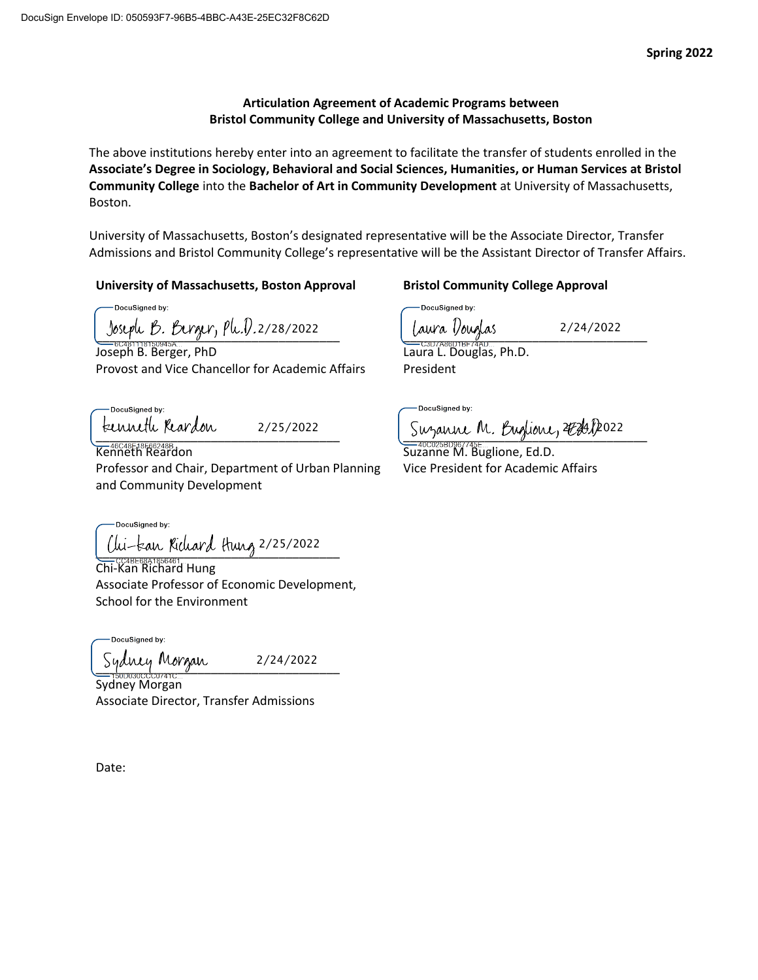#### **Articulation Agreement of Academic Programs between Bristol Community College and University of Massachusetts, Boston**

The above institutions hereby enter into an agreement to facilitate the transfer of students enrolled in the **Associate's Degree in Sociology, Behavioral and Social Sciences, Humanities, or Human Services at Bristol Community College** into the **Bachelor of Art in Community Development** at University of Massachusetts, Boston.

University of Massachusetts, Boston's designated representative will be the Associate Director, Transfer Admissions and Bristol Community College's representative will be the Assistant Director of Transfer Affairs.

#### **University of Massachusetts, Boston Approval Bristol Community College Approval**

DocuSigned by: \_\_\_\_\_\_\_\_\_\_\_\_\_\_\_\_\_\_\_\_\_\_\_\_\_\_\_\_\_\_\_\_\_\_\_\_ \_\_\_\_\_\_\_\_\_\_\_\_\_\_\_\_\_\_\_\_\_\_\_\_\_\_\_\_\_\_\_\_\_\_\_\_ 2/28/2022

Joseph B. Berger, PhD Provost and Vice Chancellor for Academic Affairs

DocuSigned by: 2/25/2022

**Kenneth Reardon** Professor and Chair, Department of Urban Planning and Community Development

-DocuSianed by: \_\_\_\_\_\_\_\_\_\_\_\_\_\_\_\_\_\_\_\_\_\_\_\_\_\_\_\_\_\_\_\_\_\_\_\_ 2/25/2022

Chi-Kan Richard Hung Associate Professor of Economic Development, School for the Environment

**DocuSianed by:** Sydney Morgan 2/24/2022

Sydney Morgan Associate Director, Transfer Admissions

Date:

DocuSigned by:

2/24/2022

Laura L. Douglas, Ph.D. President

DocuSigned by:

 $\frac{1}{2}$ 2*0224.X2*022

Suzanne M. Buglione, Ed.D. Vice President for Academic Affairs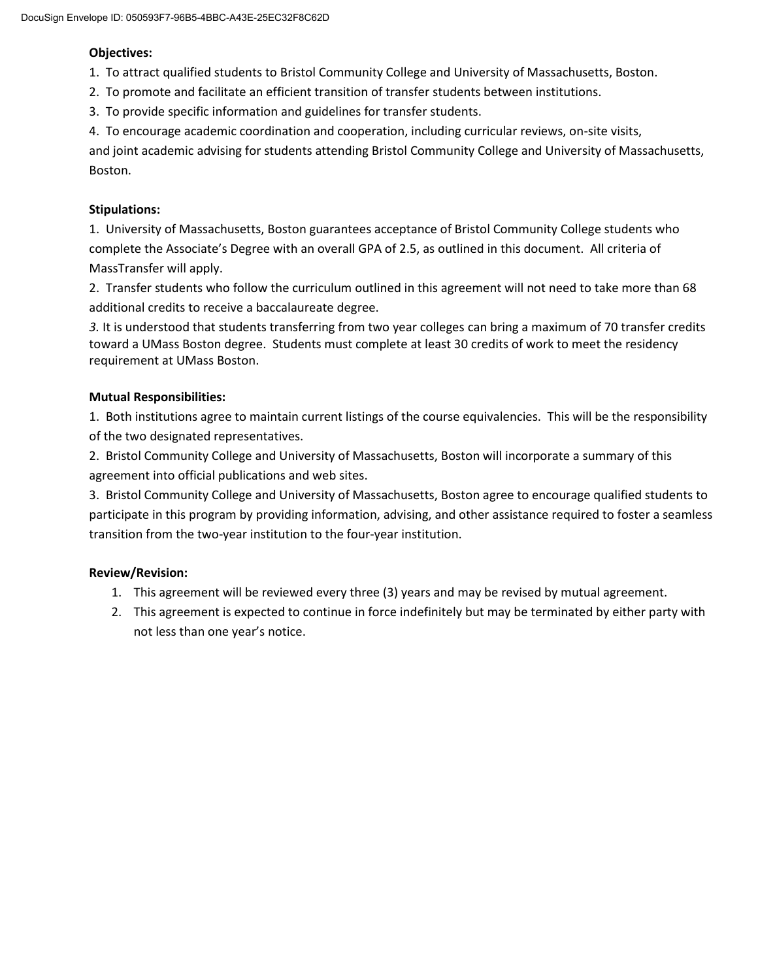# **Objectives:**

1. To attract qualified students to Bristol Community College and University of Massachusetts, Boston.

2. To promote and facilitate an efficient transition of transfer students between institutions.

3. To provide specific information and guidelines for transfer students.

4. To encourage academic coordination and cooperation, including curricular reviews, on-site visits,

and joint academic advising for students attending Bristol Community College and University of Massachusetts, Boston.

# **Stipulations:**

1. University of Massachusetts, Boston guarantees acceptance of Bristol Community College students who complete the Associate's Degree with an overall GPA of 2.5, as outlined in this document. All criteria of MassTransfer will apply.

2. Transfer students who follow the curriculum outlined in this agreement will not need to take more than 68 additional credits to receive a baccalaureate degree.

*3.* It is understood that students transferring from two year colleges can bring a maximum of 70 transfer credits toward a UMass Boston degree. Students must complete at least 30 credits of work to meet the residency requirement at UMass Boston.

# **Mutual Responsibilities:**

1. Both institutions agree to maintain current listings of the course equivalencies. This will be the responsibility of the two designated representatives.

2. Bristol Community College and University of Massachusetts, Boston will incorporate a summary of this agreement into official publications and web sites.

3. Bristol Community College and University of Massachusetts, Boston agree to encourage qualified students to participate in this program by providing information, advising, and other assistance required to foster a seamless transition from the two-year institution to the four-year institution.

# **Review/Revision:**

- 1. This agreement will be reviewed every three (3) years and may be revised by mutual agreement.
- 2. This agreement is expected to continue in force indefinitely but may be terminated by either party with not less than one year's notice.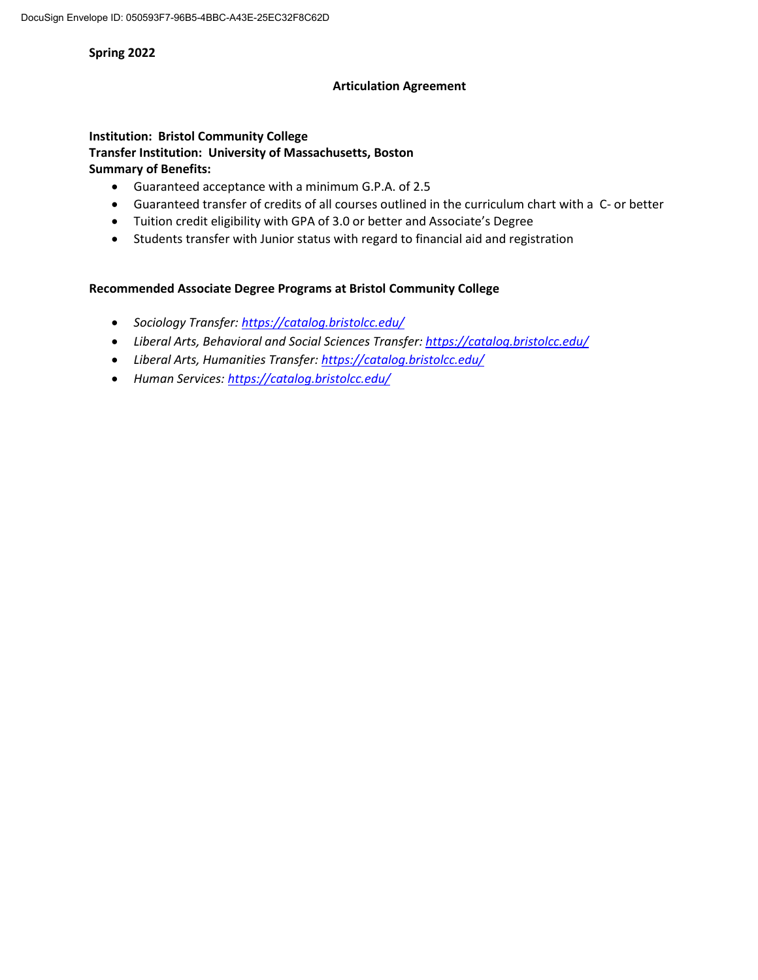#### **Spring 2022**

#### **Articulation Agreement**

# **Institution: Bristol Community College Transfer Institution: University of Massachusetts, Boston Summary of Benefits:**

- Guaranteed acceptance with a minimum G.P.A. of 2.5
- Guaranteed transfer of credits of all courses outlined in the curriculum chart with a C- or better
- Tuition credit eligibility with GPA of 3.0 or better and Associate's Degree
- Students transfer with Junior status with regard to financial aid and registration

#### **Recommended Associate Degree Programs at Bristol Community College**

- *Sociology Transfer:<https://catalog.bristolcc.edu/>*
- *Liberal Arts, Behavioral and Social Sciences Transfer:<https://catalog.bristolcc.edu/>*
- *Liberal Arts, Humanities Transfer[: https://catalog.bristolcc.edu/](https://catalog.bristolcc.edu/)*
- *Human Services:<https://catalog.bristolcc.edu/>*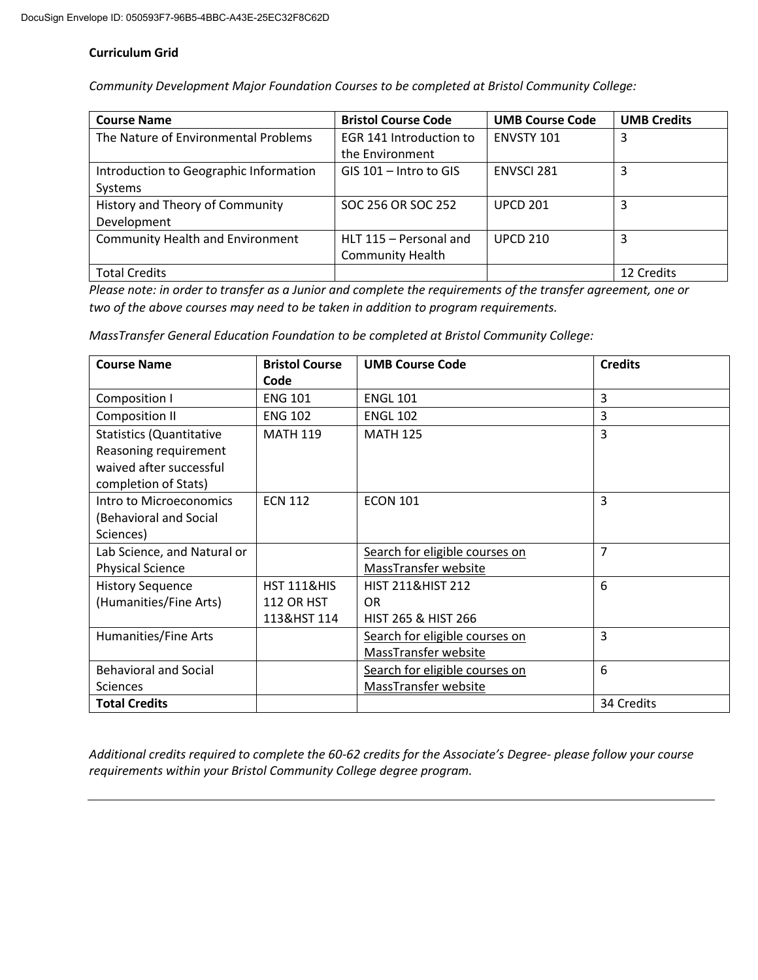### **Curriculum Grid**

*Community Development Major Foundation Courses to be completed at Bristol Community College:*

| <b>Course Name</b>                      | <b>Bristol Course Code</b> | <b>UMB Course Code</b> | <b>UMB Credits</b> |
|-----------------------------------------|----------------------------|------------------------|--------------------|
| The Nature of Environmental Problems    | EGR 141 Introduction to    | <b>ENVSTY 101</b>      | 3                  |
|                                         | the Environment            |                        |                    |
| Introduction to Geographic Information  | GIS 101 - Intro to GIS     | <b>ENVSCI 281</b>      | 3                  |
| <b>Systems</b>                          |                            |                        |                    |
| History and Theory of Community         | SOC 256 OR SOC 252         | <b>UPCD 201</b>        | 3                  |
| Development                             |                            |                        |                    |
| <b>Community Health and Environment</b> | HLT 115 - Personal and     | <b>UPCD 210</b>        | 3                  |
|                                         | <b>Community Health</b>    |                        |                    |
| <b>Total Credits</b>                    |                            |                        | 12 Credits         |

*Please note: in order to transfer as a Junior and complete the requirements of the transfer agreement, one or two of the above courses may need to be taken in addition to program requirements.*

*MassTransfer General Education Foundation to be completed at Bristol Community College:*

| <b>Course Name</b>              | <b>Bristol Course</b>  | <b>UMB Course Code</b>         | <b>Credits</b> |
|---------------------------------|------------------------|--------------------------------|----------------|
|                                 | Code                   |                                |                |
| Composition I                   | <b>ENG 101</b>         | <b>ENGL 101</b>                | 3              |
| Composition II                  | <b>ENG 102</b>         | <b>ENGL 102</b>                | 3              |
| <b>Statistics (Quantitative</b> | <b>MATH 119</b>        | <b>MATH 125</b>                | 3              |
| Reasoning requirement           |                        |                                |                |
| waived after successful         |                        |                                |                |
| completion of Stats)            |                        |                                |                |
| Intro to Microeconomics         | <b>ECN 112</b>         | <b>ECON 101</b>                | 3              |
| (Behavioral and Social          |                        |                                |                |
| Sciences)                       |                        |                                |                |
| Lab Science, and Natural or     |                        | Search for eligible courses on | 7              |
| <b>Physical Science</b>         |                        | MassTransfer website           |                |
| <b>History Sequence</b>         | <b>HST 111&amp;HIS</b> | <b>HIST 211&amp;HIST 212</b>   | 6              |
| (Humanities/Fine Arts)          | <b>112 OR HST</b>      | <b>OR</b>                      |                |
|                                 | 113&HST 114            | <b>HIST 265 &amp; HIST 266</b> |                |
| Humanities/Fine Arts            |                        | Search for eligible courses on | 3              |
|                                 |                        | MassTransfer website           |                |
| <b>Behavioral and Social</b>    |                        | Search for eligible courses on | 6              |
| <b>Sciences</b>                 |                        | MassTransfer website           |                |
| <b>Total Credits</b>            |                        |                                | 34 Credits     |

*Additional credits required to complete the 60-62 credits for the Associate's Degree- please follow your course requirements within your Bristol Community College degree program.*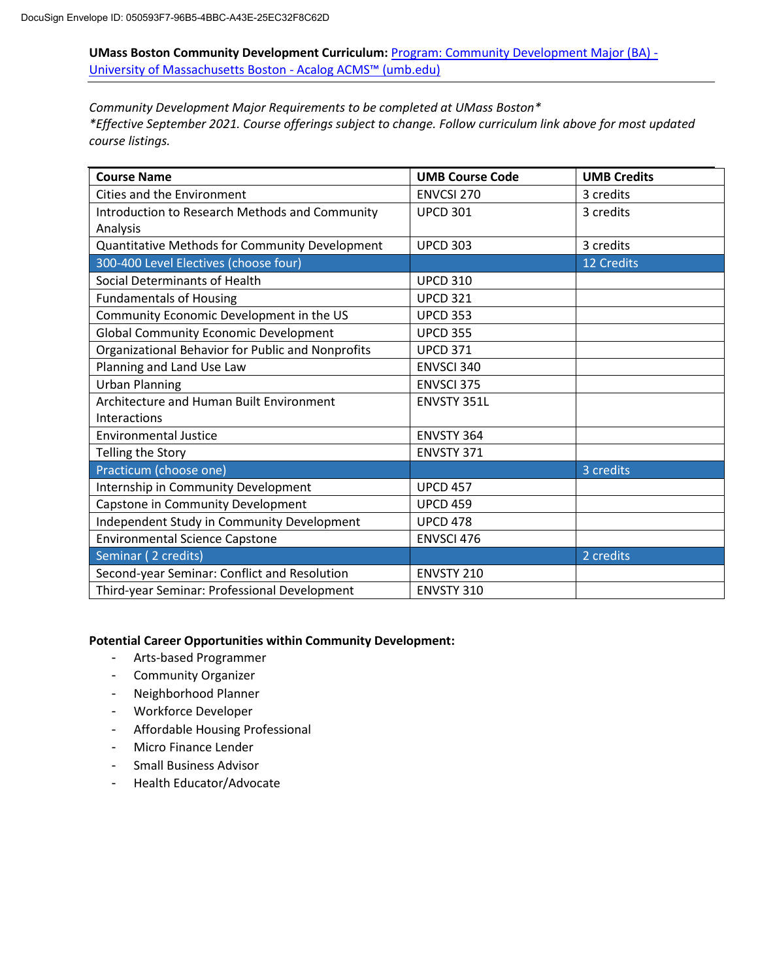**UMass Boston Community Development Curriculum:** [Program: Community Development Major \(BA\) -](http://catalog.umb.edu/preview_program.php?catoid=42&poid=10805&hl=community+development&returnto=search) [University of Massachusetts Boston -](http://catalog.umb.edu/preview_program.php?catoid=42&poid=10805&hl=community+development&returnto=search) Acalog ACMS™ (umb.edu)

*Community Development Major Requirements to be completed at UMass Boston\* \*Effective September 2021. Course offerings subject to change. Follow curriculum link above for most updated course listings.* 

| <b>Course Name</b>                                | <b>UMB Course Code</b> | <b>UMB Credits</b> |
|---------------------------------------------------|------------------------|--------------------|
| Cities and the Environment                        | ENVCSI 270             | 3 credits          |
| Introduction to Research Methods and Community    | <b>UPCD 301</b>        | 3 credits          |
| Analysis                                          |                        |                    |
| Quantitative Methods for Community Development    | <b>UPCD 303</b>        | 3 credits          |
| 300-400 Level Electives (choose four)             |                        | 12 Credits         |
| Social Determinants of Health                     | <b>UPCD 310</b>        |                    |
| <b>Fundamentals of Housing</b>                    | <b>UPCD 321</b>        |                    |
| Community Economic Development in the US          | <b>UPCD 353</b>        |                    |
| <b>Global Community Economic Development</b>      | <b>UPCD 355</b>        |                    |
| Organizational Behavior for Public and Nonprofits | <b>UPCD 371</b>        |                    |
| Planning and Land Use Law                         | ENVSCI 340             |                    |
| <b>Urban Planning</b>                             | <b>ENVSCI 375</b>      |                    |
| <b>Architecture and Human Built Environment</b>   | ENVSTY 351L            |                    |
| Interactions                                      |                        |                    |
| <b>Environmental Justice</b>                      | ENVSTY 364             |                    |
| Telling the Story                                 | ENVSTY 371             |                    |
| Practicum (choose one)                            |                        | 3 credits          |
| Internship in Community Development               | <b>UPCD 457</b>        |                    |
| Capstone in Community Development                 | <b>UPCD 459</b>        |                    |
| Independent Study in Community Development        | <b>UPCD 478</b>        |                    |
| <b>Environmental Science Capstone</b>             | ENVSCI 476             |                    |
| Seminar (2 credits)                               |                        | 2 credits          |
| Second-year Seminar: Conflict and Resolution      | ENVSTY 210             |                    |
| Third-year Seminar: Professional Development      | <b>ENVSTY 310</b>      |                    |

#### **Potential Career Opportunities within Community Development:**

- Arts-based Programmer
- Community Organizer
- Neighborhood Planner
- Workforce Developer
- Affordable Housing Professional
- Micro Finance Lender
- Small Business Advisor
- Health Educator/Advocate